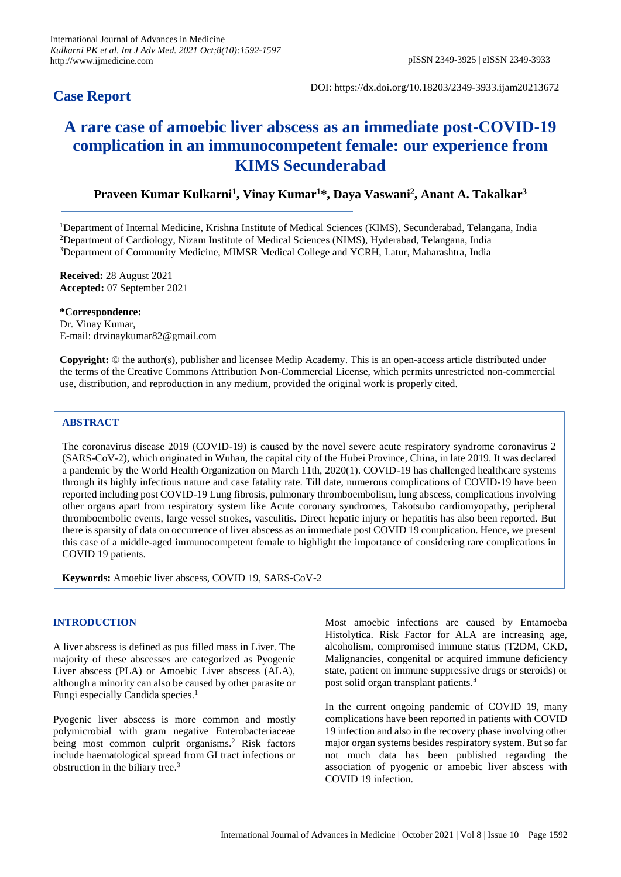# **Case Report**

DOI: https://dx.doi.org/10.18203/2349-3933.ijam20213672

# **A rare case of amoebic liver abscess as an immediate post-COVID-19 complication in an immunocompetent female: our experience from KIMS Secunderabad**

# **Praveen Kumar Kulkarni<sup>1</sup> , Vinay Kumar<sup>1</sup>\*, Daya Vaswani<sup>2</sup> , Anant A. Takalkar<sup>3</sup>**

<sup>1</sup>Department of Internal Medicine, Krishna Institute of Medical Sciences (KIMS), Secunderabad, Telangana, India <sup>2</sup>Department of Cardiology, Nizam Institute of Medical Sciences (NIMS), Hyderabad, Telangana, India <sup>3</sup>Department of Community Medicine, MIMSR Medical College and YCRH, Latur, Maharashtra, India

**Received:** 28 August 2021 **Accepted:** 07 September 2021

#### **\*Correspondence:**

Dr. Vinay Kumar, E-mail: drvinaykumar82@gmail.com

**Copyright:** © the author(s), publisher and licensee Medip Academy. This is an open-access article distributed under the terms of the Creative Commons Attribution Non-Commercial License, which permits unrestricted non-commercial use, distribution, and reproduction in any medium, provided the original work is properly cited.

#### **ABSTRACT**

The coronavirus disease 2019 (COVID-19) is caused by the novel severe acute respiratory syndrome coronavirus 2 (SARS-CoV-2), which originated in Wuhan, the capital city of the Hubei Province, China, in late 2019. It was declared a pandemic by the World Health Organization on March 11th, 2020(1). COVID-19 has challenged healthcare systems through its highly infectious nature and case fatality rate. Till date, numerous complications of COVID-19 have been reported including post COVID-19 Lung fibrosis, pulmonary thromboembolism, lung abscess, complications involving other organs apart from respiratory system like Acute coronary syndromes, Takotsubo cardiomyopathy, peripheral thromboembolic events, large vessel strokes, vasculitis. Direct hepatic injury or hepatitis has also been reported. But there is sparsity of data on occurrence of liver abscess as an immediate post COVID 19 complication. Hence, we present this case of a middle-aged immunocompetent female to highlight the importance of considering rare complications in COVID 19 patients.

**Keywords:** Amoebic liver abscess, COVID 19, SARS-CoV-2

## **INTRODUCTION**

A liver abscess is defined as pus filled mass in Liver. The majority of these abscesses are categorized as Pyogenic Liver abscess (PLA) or Amoebic Liver abscess (ALA), although a minority can also be caused by other parasite or Fungi especially Candida species. 1

Pyogenic liver abscess is more common and mostly polymicrobial with gram negative Enterobacteriaceae being most common culprit organisms.<sup>2</sup> Risk factors include haematological spread from GI tract infections or obstruction in the biliary tree. 3

Most amoebic infections are caused by Entamoeba Histolytica. Risk Factor for ALA are increasing age, alcoholism, compromised immune status (T2DM, CKD, Malignancies, congenital or acquired immune deficiency state, patient on immune suppressive drugs or steroids) or post solid organ transplant patients.<sup>4</sup>

In the current ongoing pandemic of COVID 19, many complications have been reported in patients with COVID 19 infection and also in the recovery phase involving other major organ systems besides respiratory system. But so far not much data has been published regarding the association of pyogenic or amoebic liver abscess with COVID 19 infection.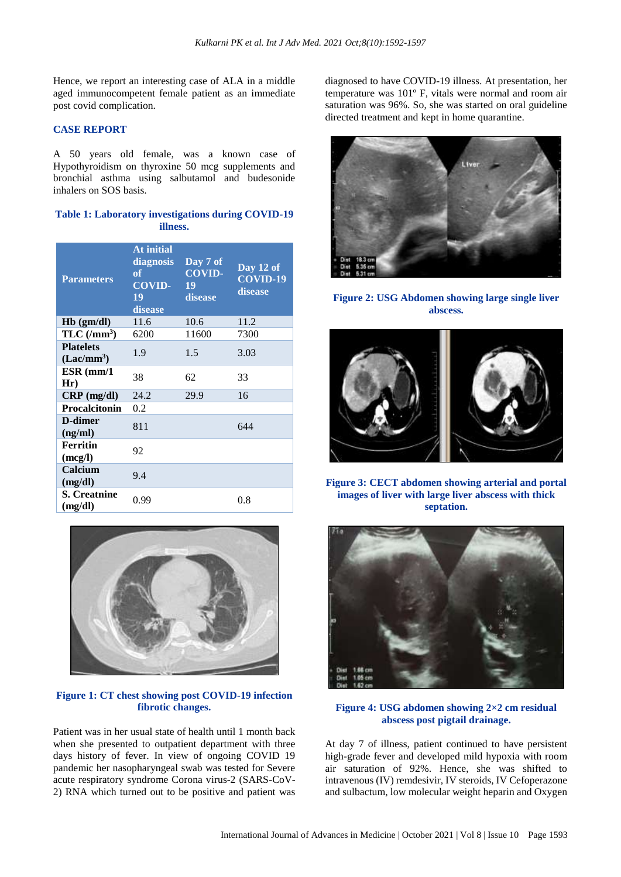Hence, we report an interesting case of ALA in a middle aged immunocompetent female patient as an immediate post covid complication.

#### **CASE REPORT**

A 50 years old female, was a known case of Hypothyroidism on thyroxine 50 mcg supplements and bronchial asthma using salbutamol and budesonide inhalers on SOS basis.

# **Table 1: Laboratory investigations during COVID-19 illness.**

| <b>Parameters</b>                | At initial<br>diagnosis<br>of<br><b>COVID-</b><br>19<br>disease | Day 7 of<br><b>COVID-</b><br>19<br><b>disease</b> | Day 12 of<br>$COVID-19$<br>disease |
|----------------------------------|-----------------------------------------------------------------|---------------------------------------------------|------------------------------------|
| $Hb$ (gm/dl)                     | 11.6                                                            | 10.6                                              | 11.2                               |
| $TLC$ (/mm <sup>3</sup> )        | 6200                                                            | 11600                                             | 7300                               |
| <b>Platelets</b><br>$(Lac/mm^3)$ | 1.9                                                             | 1.5                                               | 3.03                               |
| $ESR$ (mm/1<br>Hr)               | 38                                                              | 62                                                | 33                                 |
| $CRP$ (mg/dl)                    | 24.2                                                            | 29.9                                              | 16                                 |
| <b>Procalcitonin</b>             | 0.2                                                             |                                                   |                                    |
| D-dimer<br>(ng/ml)               | 811                                                             |                                                   | 644                                |
| <b>Ferritin</b><br>(mcg/l)       | 92                                                              |                                                   |                                    |
| Calcium<br>(mg/dl)               | 9.4                                                             |                                                   |                                    |
| <b>S. Creatnine</b><br>(mg/dl)   | 0.99                                                            |                                                   | 0.8                                |



# **Figure 1: CT chest showing post COVID-19 infection fibrotic changes.**

Patient was in her usual state of health until 1 month back when she presented to outpatient department with three days history of fever. In view of ongoing COVID 19 pandemic her nasopharyngeal swab was tested for Severe acute respiratory syndrome Corona virus-2 (SARS-CoV-2) RNA which turned out to be positive and patient was

diagnosed to have COVID-19 illness. At presentation, her temperature was 101º F, vitals were normal and room air saturation was 96%. So, she was started on oral guideline directed treatment and kept in home quarantine.



**Figure 2: USG Abdomen showing large single liver abscess.**



**Figure 3: CECT abdomen showing arterial and portal images of liver with large liver abscess with thick septation.**



**Figure 4: USG abdomen showing 2×2 cm residual abscess post pigtail drainage.**

At day 7 of illness, patient continued to have persistent high-grade fever and developed mild hypoxia with room air saturation of 92%. Hence, she was shifted to intravenous (IV) remdesivir, IV steroids, IV Cefoperazone and sulbactum, low molecular weight heparin and Oxygen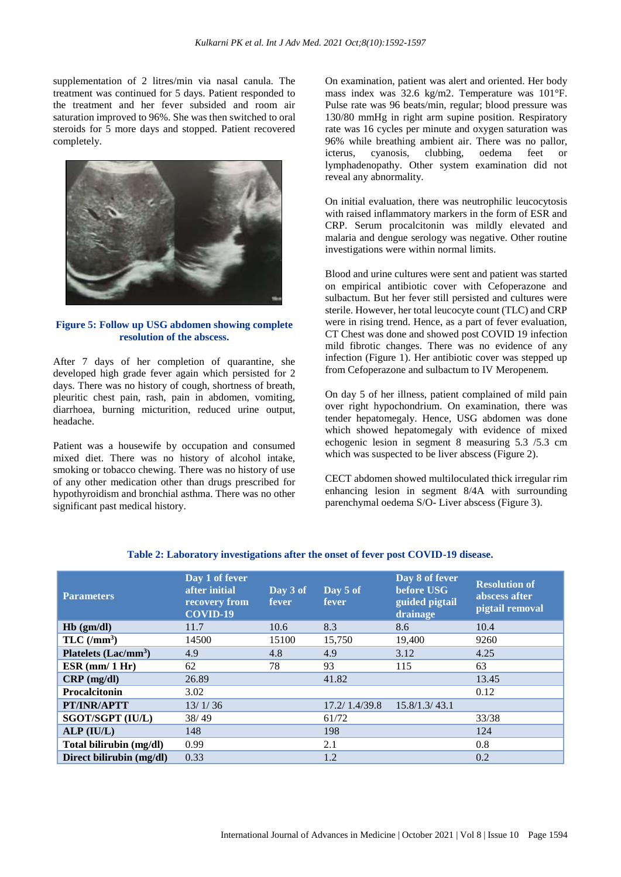supplementation of 2 litres/min via nasal canula. The treatment was continued for 5 days. Patient responded to the treatment and her fever subsided and room air saturation improved to 96%. She was then switched to oral steroids for 5 more days and stopped. Patient recovered completely.



#### **Figure 5: Follow up USG abdomen showing complete resolution of the abscess.**

After 7 days of her completion of quarantine, she developed high grade fever again which persisted for 2 days. There was no history of cough, shortness of breath, pleuritic chest pain, rash, pain in abdomen, vomiting, diarrhoea, burning micturition, reduced urine output, headache.

Patient was a housewife by occupation and consumed mixed diet. There was no history of alcohol intake, smoking or tobacco chewing. There was no history of use of any other medication other than drugs prescribed for hypothyroidism and bronchial asthma. There was no other significant past medical history.

On examination, patient was alert and oriented. Her body mass index was 32.6 kg/m2. Temperature was 101°F. Pulse rate was 96 beats/min, regular; blood pressure was 130/80 mmHg in right arm supine position. Respiratory rate was 16 cycles per minute and oxygen saturation was 96% while breathing ambient air. There was no pallor, icterus, cyanosis, clubbing, oedema feet or lymphadenopathy. Other system examination did not reveal any abnormality.

On initial evaluation, there was neutrophilic leucocytosis with raised inflammatory markers in the form of ESR and CRP. Serum procalcitonin was mildly elevated and malaria and dengue serology was negative. Other routine investigations were within normal limits.

Blood and urine cultures were sent and patient was started on empirical antibiotic cover with Cefoperazone and sulbactum. But her fever still persisted and cultures were sterile. However, her total leucocyte count (TLC) and CRP were in rising trend. Hence, as a part of fever evaluation, CT Chest was done and showed post COVID 19 infection mild fibrotic changes. There was no evidence of any infection (Figure 1). Her antibiotic cover was stepped up from Cefoperazone and sulbactum to IV Meropenem.

On day 5 of her illness, patient complained of mild pain over right hypochondrium. On examination, there was tender hepatomegaly. Hence, USG abdomen was done which showed hepatomegaly with evidence of mixed echogenic lesion in segment 8 measuring 5.3 /5.3 cm which was suspected to be liver abscess (Figure 2).

CECT abdomen showed multiloculated thick irregular rim enhancing lesion in segment 8/4A with surrounding parenchymal oedema S/O- Liver abscess (Figure 3).

| <b>Parameters</b>                | Day 1 of fever<br>after initial<br>recovery from<br>COVID-19 | Day 3 of<br>fever | Day 5 of<br>fever | Day 8 of fever<br>before USG<br>guided pigtail<br>drainage | <b>Resolution of</b><br>abscess after<br>pigtail removal |
|----------------------------------|--------------------------------------------------------------|-------------------|-------------------|------------------------------------------------------------|----------------------------------------------------------|
| $Hb$ (gm/dl)                     | 11.7                                                         | 10.6              | 8.3               | 8.6                                                        | 10.4                                                     |
| $TLC$ (/mm <sup>3</sup> )        | 14500                                                        | 15100             | 15,750            | 19,400                                                     | 9260                                                     |
| Platelets (Lac/mm <sup>3</sup> ) | 4.9                                                          | 4.8               | 4.9               | 3.12                                                       | 4.25                                                     |
| $ESR$ (mm/ 1 Hr)                 | 62                                                           | 78                | 93                | 115                                                        | 63                                                       |
| $CRP$ (mg/dl)                    | 26.89                                                        |                   | 41.82             |                                                            | 13.45                                                    |
| Procalcitonin                    | 3.02                                                         |                   |                   |                                                            | 0.12                                                     |
| PT/INR/APTT                      | 13/1/36                                                      |                   | 17.2/ 1.4/39.8    | 15.8/1.3/43.1                                              |                                                          |
| <b>SGOT/SGPT (IU/L)</b>          | 38/49                                                        |                   | 61/72             |                                                            | 33/38                                                    |
| ALP (IU/L)                       | 148                                                          |                   | 198               |                                                            | 124                                                      |
| Total bilirubin (mg/dl)          | 0.99                                                         |                   | 2.1               |                                                            | 0.8                                                      |
| Direct bilirubin (mg/dl)         | 0.33                                                         |                   | 1.2               |                                                            | 0.2                                                      |

### **Table 2: Laboratory investigations after the onset of fever post COVID-19 disease.**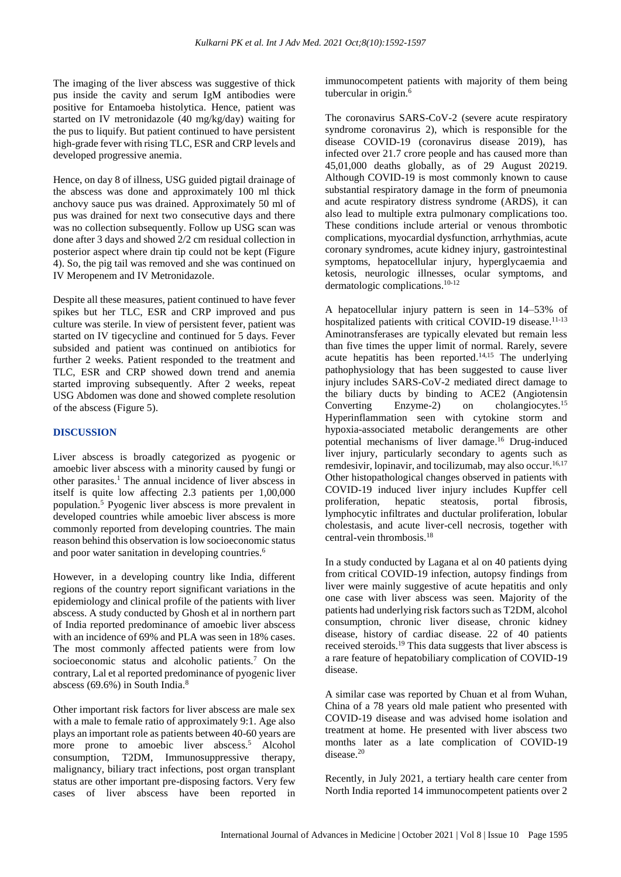The imaging of the liver abscess was suggestive of thick pus inside the cavity and serum IgM antibodies were positive for Entamoeba histolytica. Hence, patient was started on IV metronidazole (40 mg/kg/day) waiting for the pus to liquify. But patient continued to have persistent high-grade fever with rising TLC, ESR and CRP levels and developed progressive anemia.

Hence, on day 8 of illness, USG guided pigtail drainage of the abscess was done and approximately 100 ml thick anchovy sauce pus was drained. Approximately 50 ml of pus was drained for next two consecutive days and there was no collection subsequently. Follow up USG scan was done after 3 days and showed 2/2 cm residual collection in posterior aspect where drain tip could not be kept (Figure 4). So, the pig tail was removed and she was continued on IV Meropenem and IV Metronidazole.

Despite all these measures, patient continued to have fever spikes but her TLC, ESR and CRP improved and pus culture was sterile. In view of persistent fever, patient was started on IV tigecycline and continued for 5 days. Fever subsided and patient was continued on antibiotics for further 2 weeks. Patient responded to the treatment and TLC, ESR and CRP showed down trend and anemia started improving subsequently. After 2 weeks, repeat USG Abdomen was done and showed complete resolution of the abscess (Figure 5).

### **DISCUSSION**

Liver abscess is broadly categorized as pyogenic or amoebic liver abscess with a minority caused by fungi or other parasites.<sup>1</sup> The annual incidence of liver abscess in itself is quite low affecting 2.3 patients per 1,00,000 population.<sup>5</sup> Pyogenic liver abscess is more prevalent in developed countries while amoebic liver abscess is more commonly reported from developing countries. The main reason behind this observation is low socioeconomic status and poor water sanitation in developing countries. 6

However, in a developing country like India, different regions of the country report significant variations in the epidemiology and clinical profile of the patients with liver abscess. A study conducted by Ghosh et al in northern part of India reported predominance of amoebic liver abscess with an incidence of 69% and PLA was seen in 18% cases. The most commonly affected patients were from low socioeconomic status and alcoholic patients.<sup>7</sup> On the contrary, Lal et al reported predominance of pyogenic liver abscess (69.6%) in South India.<sup>8</sup>

Other important risk factors for liver abscess are male sex with a male to female ratio of approximately 9:1. Age also plays an important role as patients between 40-60 years are more prone to amoebic liver abscess.<sup>5</sup> Alcohol consumption, T2DM, Immunosuppressive therapy, malignancy, biliary tract infections, post organ transplant status are other important pre-disposing factors. Very few cases of liver abscess have been reported in immunocompetent patients with majority of them being tubercular in origin.<sup>6</sup>

The coronavirus SARS-CoV-2 (severe acute respiratory syndrome coronavirus 2), which is responsible for the disease COVID-19 (coronavirus disease 2019), has infected over 21.7 crore people and has caused more than 45,01,000 deaths globally, as of 29 August 20219. Although COVID-19 is most commonly known to cause substantial respiratory damage in the form of pneumonia and acute respiratory distress syndrome (ARDS), it can also lead to multiple extra pulmonary complications too. These conditions include arterial or venous thrombotic complications, myocardial dysfunction, arrhythmias, acute coronary syndromes, acute kidney injury, gastrointestinal symptoms, hepatocellular injury, hyperglycaemia and ketosis, neurologic illnesses, ocular symptoms, and dermatologic complications. 10-12

A hepatocellular injury pattern is seen in 14–53% of hospitalized patients with critical COVID-19 disease.<sup>11-13</sup> Aminotransferases are typically elevated but remain less than five times the upper limit of normal. Rarely, severe acute hepatitis has been reported. 14,15 The underlying pathophysiology that has been suggested to cause liver injury includes SARS-CoV-2 mediated direct damage to the biliary ducts by binding to ACE2 (Angiotensin Converting Enzyme-2) on cholangiocytes.<sup>15</sup> Hyperinflammation seen with cytokine storm and hypoxia-associated metabolic derangements are other potential mechanisms of liver damage. <sup>16</sup> Drug-induced liver injury, particularly secondary to agents such as remdesivir, lopinavir, and tocilizumab, may also occur.<sup>16,17</sup> Other histopathological changes observed in patients with COVID-19 induced liver injury includes Kupffer cell proliferation, hepatic steatosis, portal fibrosis, lymphocytic infiltrates and ductular proliferation, lobular cholestasis, and acute liver-cell necrosis, together with central-vein thrombosis. 18

In a study conducted by Lagana et al on 40 patients dying from critical COVID-19 infection, autopsy findings from liver were mainly suggestive of acute hepatitis and only one case with liver abscess was seen. Majority of the patients had underlying risk factors such as T2DM, alcohol consumption, chronic liver disease, chronic kidney disease, history of cardiac disease. 22 of 40 patients received steroids.<sup>19</sup> This data suggests that liver abscess is a rare feature of hepatobiliary complication of COVID-19 disease.

A similar case was reported by Chuan et al from Wuhan, China of a 78 years old male patient who presented with COVID-19 disease and was advised home isolation and treatment at home. He presented with liver abscess two months later as a late complication of COVID-19 disease.<sup>20</sup>

Recently, in July 2021, a tertiary health care center from North India reported 14 immunocompetent patients over 2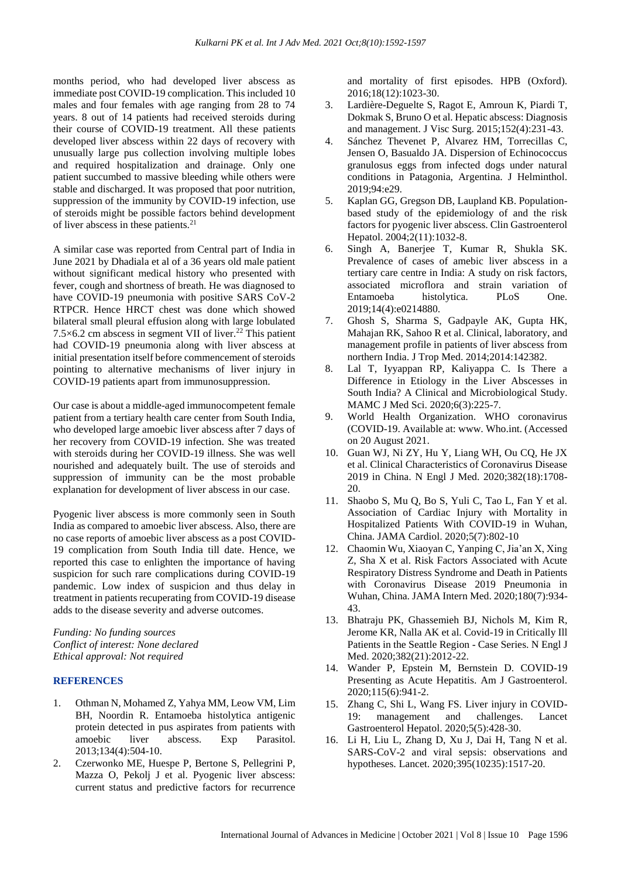months period, who had developed liver abscess as immediate post COVID-19 complication. This included 10 males and four females with age ranging from 28 to 74 years. 8 out of 14 patients had received steroids during their course of COVID-19 treatment. All these patients developed liver abscess within 22 days of recovery with unusually large pus collection involving multiple lobes and required hospitalization and drainage. Only one patient succumbed to massive bleeding while others were stable and discharged. It was proposed that poor nutrition, suppression of the immunity by COVID-19 infection, use of steroids might be possible factors behind development of liver abscess in these patients.<sup>21</sup>

A similar case was reported from Central part of India in June 2021 by Dhadiala et al of a 36 years old male patient without significant medical history who presented with fever, cough and shortness of breath. He was diagnosed to have COVID-19 pneumonia with positive SARS CoV-2 RTPCR. Hence HRCT chest was done which showed bilateral small pleural effusion along with large lobulated  $7.5\times6.2$  cm abscess in segment VII of liver.<sup>22</sup> This patient had COVID-19 pneumonia along with liver abscess at initial presentation itself before commencement of steroids pointing to alternative mechanisms of liver injury in COVID-19 patients apart from immunosuppression.

Our case is about a middle-aged immunocompetent female patient from a tertiary health care center from South India, who developed large amoebic liver abscess after 7 days of her recovery from COVID-19 infection. She was treated with steroids during her COVID-19 illness. She was well nourished and adequately built. The use of steroids and suppression of immunity can be the most probable explanation for development of liver abscess in our case.

Pyogenic liver abscess is more commonly seen in South India as compared to amoebic liver abscess. Also, there are no case reports of amoebic liver abscess as a post COVID-19 complication from South India till date. Hence, we reported this case to enlighten the importance of having suspicion for such rare complications during COVID-19 pandemic. Low index of suspicion and thus delay in treatment in patients recuperating from COVID-19 disease adds to the disease severity and adverse outcomes.

*Funding: No funding sources Conflict of interest: None declared Ethical approval: Not required*

#### **REFERENCES**

- 1. Othman N, Mohamed Z, Yahya MM, Leow VM, Lim BH, Noordin R. Entamoeba histolytica antigenic protein detected in pus aspirates from patients with amoebic liver abscess. Exp Parasitol. 2013;134(4):504-10.
- 2. Czerwonko ME, Huespe P, Bertone S, Pellegrini P, Mazza O, Pekolj J et al. Pyogenic liver abscess: current status and predictive factors for recurrence

and mortality of first episodes. HPB (Oxford). 2016;18(12):1023-30.

- 3. Lardière-Deguelte S, Ragot E, Amroun K, Piardi T, Dokmak S, Bruno O et al. Hepatic abscess: Diagnosis and management. J Visc Surg. 2015;152(4):231-43.
- 4. Sánchez Thevenet P, Alvarez HM, Torrecillas C, Jensen O, Basualdo JA. Dispersion of Echinococcus granulosus eggs from infected dogs under natural conditions in Patagonia, Argentina. J Helminthol. 2019;94:e29.
- 5. Kaplan GG, Gregson DB, Laupland KB. Populationbased study of the epidemiology of and the risk factors for pyogenic liver abscess. Clin Gastroenterol Hepatol. 2004;2(11):1032-8.
- 6. Singh A, Banerjee T, Kumar R, Shukla SK. Prevalence of cases of amebic liver abscess in a tertiary care centre in India: A study on risk factors, associated microflora and strain variation of Entamoeba histolytica. PLoS One. 2019;14(4):e0214880.
- 7. Ghosh S, Sharma S, Gadpayle AK, Gupta HK, Mahajan RK, Sahoo R et al. Clinical, laboratory, and management profile in patients of liver abscess from northern India. J Trop Med. 2014;2014:142382.
- 8. Lal T, Iyyappan RP, Kaliyappa C. Is There a Difference in Etiology in the Liver Abscesses in South India? A Clinical and Microbiological Study. MAMC J Med Sci. 2020;6(3):225-7.
- 9. World Health Organization. WHO coronavirus (COVID-19. Available at: www. Who.int. (Accessed on 20 August 2021.
- 10. Guan WJ, Ni ZY, Hu Y, Liang WH, Ou CQ, He JX et al. Clinical Characteristics of Coronavirus Disease 2019 in China. N Engl J Med. 2020;382(18):1708- 20.
- 11. Shaobo S, Mu Q, Bo S, Yuli C, Tao L, Fan Y et al. Association of Cardiac Injury with Mortality in Hospitalized Patients With COVID-19 in Wuhan, China. JAMA Cardiol. 2020;5(7):802-10
- 12. Chaomin Wu, Xiaoyan C, Yanping C, Jia'an X, Xing Z, Sha X et al. Risk Factors Associated with Acute Respiratory Distress Syndrome and Death in Patients with Coronavirus Disease 2019 Pneumonia in Wuhan, China. JAMA Intern Med. 2020;180(7):934- 43.
- 13. Bhatraju PK, Ghassemieh BJ, Nichols M, Kim R, Jerome KR, Nalla AK et al. Covid-19 in Critically Ill Patients in the Seattle Region - Case Series. N Engl J Med. 2020;382(21):2012-22.
- 14. Wander P, Epstein M, Bernstein D. COVID-19 Presenting as Acute Hepatitis. Am J Gastroenterol. 2020;115(6):941-2.
- 15. Zhang C, Shi L, Wang FS. Liver injury in COVID-19: management and challenges. Lancet Gastroenterol Hepatol. 2020;5(5):428-30.
- 16. Li H, Liu L, Zhang D, Xu J, Dai H, Tang N et al. SARS-CoV-2 and viral sepsis: observations and hypotheses. Lancet. 2020;395(10235):1517-20.